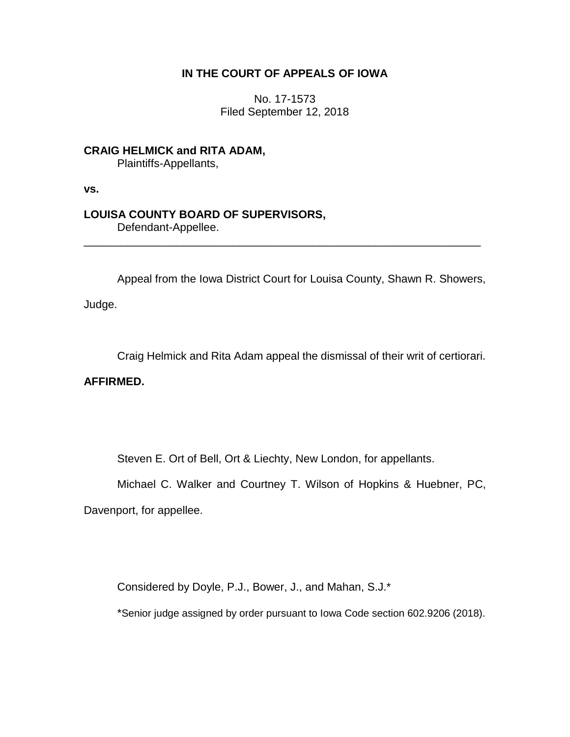## **IN THE COURT OF APPEALS OF IOWA**

No. 17-1573 Filed September 12, 2018

**CRAIG HELMICK and RITA ADAM,** Plaintiffs-Appellants,

**vs.**

# **LOUISA COUNTY BOARD OF SUPERVISORS,**

Defendant-Appellee.

Appeal from the Iowa District Court for Louisa County, Shawn R. Showers,

\_\_\_\_\_\_\_\_\_\_\_\_\_\_\_\_\_\_\_\_\_\_\_\_\_\_\_\_\_\_\_\_\_\_\_\_\_\_\_\_\_\_\_\_\_\_\_\_\_\_\_\_\_\_\_\_\_\_\_\_\_\_\_\_

Judge.

Craig Helmick and Rita Adam appeal the dismissal of their writ of certiorari.

## **AFFIRMED.**

Steven E. Ort of Bell, Ort & Liechty, New London, for appellants.

Michael C. Walker and Courtney T. Wilson of Hopkins & Huebner, PC,

Davenport, for appellee.

Considered by Doyle, P.J., Bower, J., and Mahan, S.J.\*

\*Senior judge assigned by order pursuant to Iowa Code section 602.9206 (2018).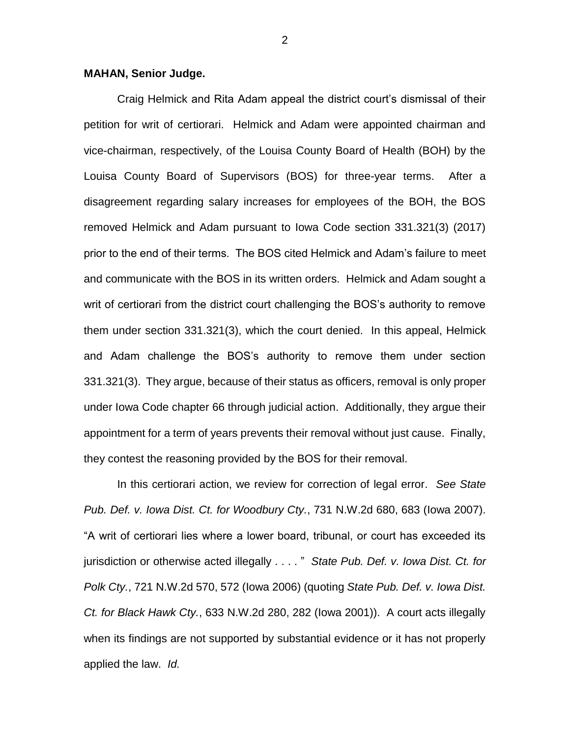#### **MAHAN, Senior Judge.**

Craig Helmick and Rita Adam appeal the district court's dismissal of their petition for writ of certiorari. Helmick and Adam were appointed chairman and vice-chairman, respectively, of the Louisa County Board of Health (BOH) by the Louisa County Board of Supervisors (BOS) for three-year terms. After a disagreement regarding salary increases for employees of the BOH, the BOS removed Helmick and Adam pursuant to Iowa Code section 331.321(3) (2017) prior to the end of their terms. The BOS cited Helmick and Adam's failure to meet and communicate with the BOS in its written orders. Helmick and Adam sought a writ of certiorari from the district court challenging the BOS's authority to remove them under section 331.321(3), which the court denied. In this appeal, Helmick and Adam challenge the BOS's authority to remove them under section 331.321(3). They argue, because of their status as officers, removal is only proper under Iowa Code chapter 66 through judicial action. Additionally, they argue their appointment for a term of years prevents their removal without just cause. Finally, they contest the reasoning provided by the BOS for their removal.

In this certiorari action, we review for correction of legal error. *See State Pub. Def. v. Iowa Dist. Ct. for Woodbury Cty.*, 731 N.W.2d 680, 683 (Iowa 2007). "A writ of certiorari lies where a lower board, tribunal, or court has exceeded its jurisdiction or otherwise acted illegally . . . . " *State Pub. Def. v. Iowa Dist. Ct. for Polk Cty.*, 721 N.W.2d 570, 572 (Iowa 2006) (quoting *State Pub. Def. v. Iowa Dist. Ct. for Black Hawk Cty.*, 633 N.W.2d 280, 282 (Iowa 2001)). A court acts illegally when its findings are not supported by substantial evidence or it has not properly applied the law. *Id.*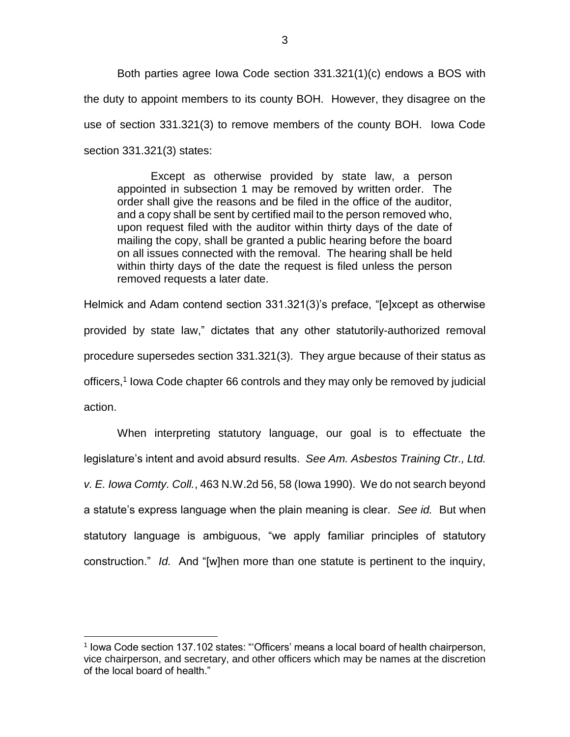Both parties agree Iowa Code section 331.321(1)(c) endows a BOS with the duty to appoint members to its county BOH. However, they disagree on the use of section 331.321(3) to remove members of the county BOH. Iowa Code section 331.321(3) states:

Except as otherwise provided by state law, a person appointed in subsection 1 may be removed by written order. The order shall give the reasons and be filed in the office of the auditor, and a copy shall be sent by certified mail to the person removed who, upon request filed with the auditor within thirty days of the date of mailing the copy, shall be granted a public hearing before the board on all issues connected with the removal. The hearing shall be held within thirty days of the date the request is filed unless the person removed requests a later date.

Helmick and Adam contend section 331.321(3)'s preface, "[e]xcept as otherwise provided by state law," dictates that any other statutorily-authorized removal procedure supersedes section 331.321(3). They argue because of their status as officers, 1 Iowa Code chapter 66 controls and they may only be removed by judicial action.

When interpreting statutory language, our goal is to effectuate the legislature's intent and avoid absurd results. *See Am. Asbestos Training Ctr., Ltd. v. E. Iowa Comty. Coll.*, 463 N.W.2d 56, 58 (Iowa 1990). We do not search beyond a statute's express language when the plain meaning is clear. *See id.* But when statutory language is ambiguous, "we apply familiar principles of statutory construction." *Id.* And "[w]hen more than one statute is pertinent to the inquiry,

 $\overline{a}$ 

<sup>&</sup>lt;sup>1</sup> Iowa Code section 137.102 states: "Officers' means a local board of health chairperson, vice chairperson, and secretary, and other officers which may be names at the discretion of the local board of health."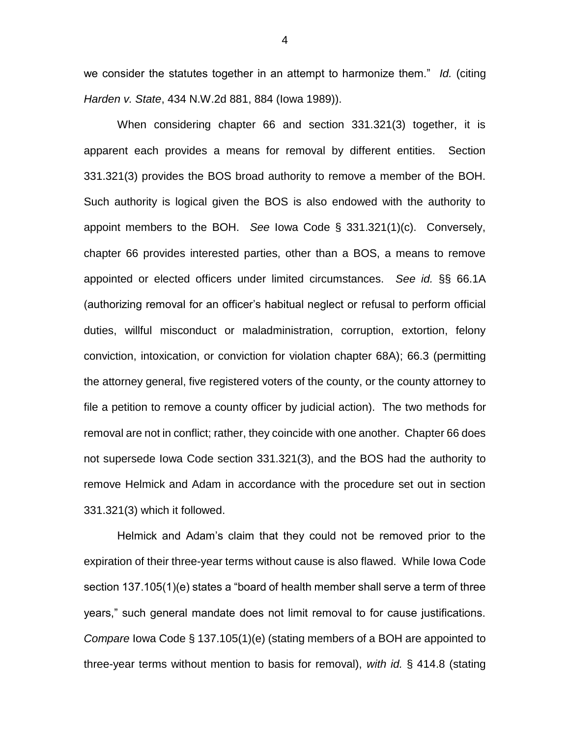we consider the statutes together in an attempt to harmonize them." *Id.* (citing *Harden v. State*, 434 N.W.2d 881, 884 (Iowa 1989)).

When considering chapter 66 and section 331.321(3) together, it is apparent each provides a means for removal by different entities. Section 331.321(3) provides the BOS broad authority to remove a member of the BOH. Such authority is logical given the BOS is also endowed with the authority to appoint members to the BOH. *See* Iowa Code § 331.321(1)(c). Conversely, chapter 66 provides interested parties, other than a BOS, a means to remove appointed or elected officers under limited circumstances. *See id.* §§ 66.1A (authorizing removal for an officer's habitual neglect or refusal to perform official duties, willful misconduct or maladministration, corruption, extortion, felony conviction, intoxication, or conviction for violation chapter 68A); 66.3 (permitting the attorney general, five registered voters of the county, or the county attorney to file a petition to remove a county officer by judicial action). The two methods for removal are not in conflict; rather, they coincide with one another. Chapter 66 does not supersede Iowa Code section 331.321(3), and the BOS had the authority to remove Helmick and Adam in accordance with the procedure set out in section 331.321(3) which it followed.

Helmick and Adam's claim that they could not be removed prior to the expiration of their three-year terms without cause is also flawed. While Iowa Code section 137.105(1)(e) states a "board of health member shall serve a term of three years," such general mandate does not limit removal to for cause justifications. *Compare* Iowa Code § 137.105(1)(e) (stating members of a BOH are appointed to three-year terms without mention to basis for removal), *with id.* § 414.8 (stating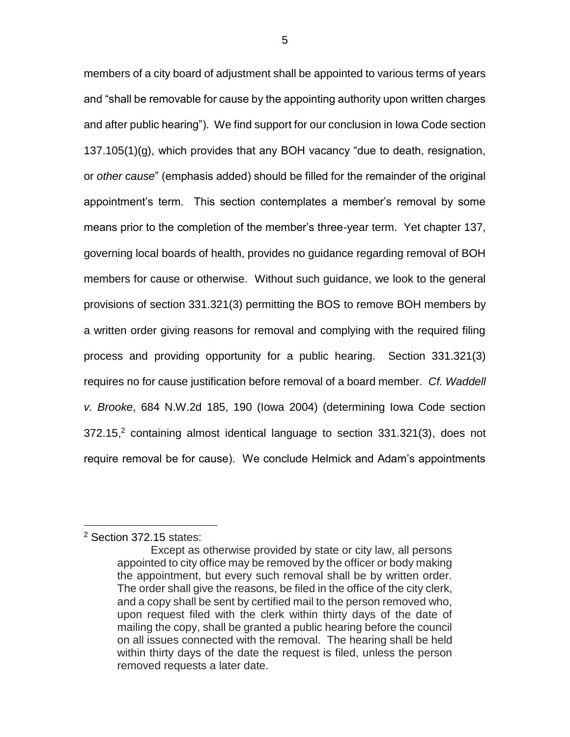members of a city board of adjustment shall be appointed to various terms of years and "shall be removable for cause by the appointing authority upon written charges and after public hearing"). We find support for our conclusion in Iowa Code section 137.105(1)(g), which provides that any BOH vacancy "due to death, resignation, or *other cause*" (emphasis added) should be filled for the remainder of the original appointment's term. This section contemplates a member's removal by some means prior to the completion of the member's three-year term. Yet chapter 137, governing local boards of health, provides no guidance regarding removal of BOH members for cause or otherwise. Without such guidance, we look to the general provisions of section 331.321(3) permitting the BOS to remove BOH members by a written order giving reasons for removal and complying with the required filing process and providing opportunity for a public hearing. Section 331.321(3) requires no for cause justification before removal of a board member. *Cf. Waddell v. Brooke*, 684 N.W.2d 185, 190 (Iowa 2004) (determining Iowa Code section 372.15, <sup>2</sup> containing almost identical language to section 331.321(3), does not require removal be for cause). We conclude Helmick and Adam's appointments

 $\overline{a}$ 

<sup>2</sup> Section 372.15 states:

Except as otherwise provided by state or city law, all persons appointed to city office may be removed by the officer or body making the appointment, but every such removal shall be by written order. The order shall give the reasons, be filed in the office of the city clerk, and a copy shall be sent by certified mail to the person removed who, upon request filed with the clerk within thirty days of the date of mailing the copy, shall be granted a public hearing before the council on all issues connected with the removal. The hearing shall be held within thirty days of the date the request is filed, unless the person removed requests a later date.